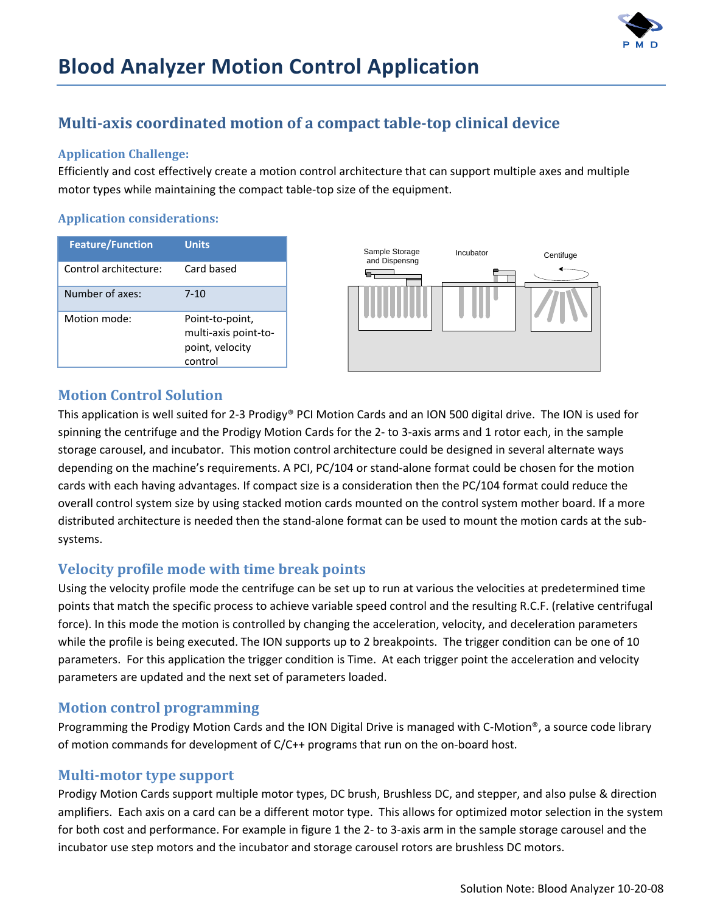

# **Blood Analyzer Motion Control Application**

# **Multiaxis coordinated motion of a compact tabletop clinical device**

#### **Application Challenge:**

Efficiently and cost effectively create a motion control architecture that can support multiple axes and multiple motor types while maintaining the compact table‐top size of the equipment.

#### **Application considerations:**

| <b>Feature/Function</b> | <b>Units</b>                                                          |
|-------------------------|-----------------------------------------------------------------------|
| Control architecture:   | Card based                                                            |
| Number of axes:         | $7 - 10$                                                              |
| Motion mode:            | Point-to-point,<br>multi-axis point-to-<br>point, velocity<br>control |



## **Motion Control Solution**

This application is well suited for 2-3 Prodigy® PCI Motion Cards and an ION 500 digital drive. The ION is used for spinning the centrifuge and the Prodigy Motion Cards for the 2‐ to 3‐axis arms and 1 rotor each, in the sample storage carousel, and incubator. This motion control architecture could be designed in several alternate ways depending on the machine's requirements. A PCI, PC/104 or stand-alone format could be chosen for the motion cards with each having advantages. If compact size is a consideration then the PC/104 format could reduce the overall control system size by using stacked motion cards mounted on the control system mother board. If a more distributed architecture is needed then the stand‐alone format can be used to mount the motion cards at the sub‐ systems.

# **Velocity profile mode with time break points**

Using the velocity profile mode the centrifuge can be set up to run at various the velocities at predetermined time points that match the specific process to achieve variable speed control and the resulting R.C.F. (relative centrifugal force). In this mode the motion is controlled by changing the acceleration, velocity, and deceleration parameters while the profile is being executed. The ION supports up to 2 breakpoints. The trigger condition can be one of 10 parameters. For this application the trigger condition is Time. At each trigger point the acceleration and velocity parameters are updated and the next set of parameters loaded.

## **Motion control programming**

Programming the Prodigy Motion Cards and the ION Digital Drive is managed with C‐Motion®, a source code library of motion commands for development of C/C++ programs that run on the on‐board host.

#### **Multimotor type support**

Prodigy Motion Cards support multiple motor types, DC brush, Brushless DC, and stepper, and also pulse & direction amplifiers. Each axis on a card can be a different motor type. This allows for optimized motor selection in the system for both cost and performance. For example in figure 1 the 2- to 3-axis arm in the sample storage carousel and the incubator use step motors and the incubator and storage carousel rotors are brushless DC motors.